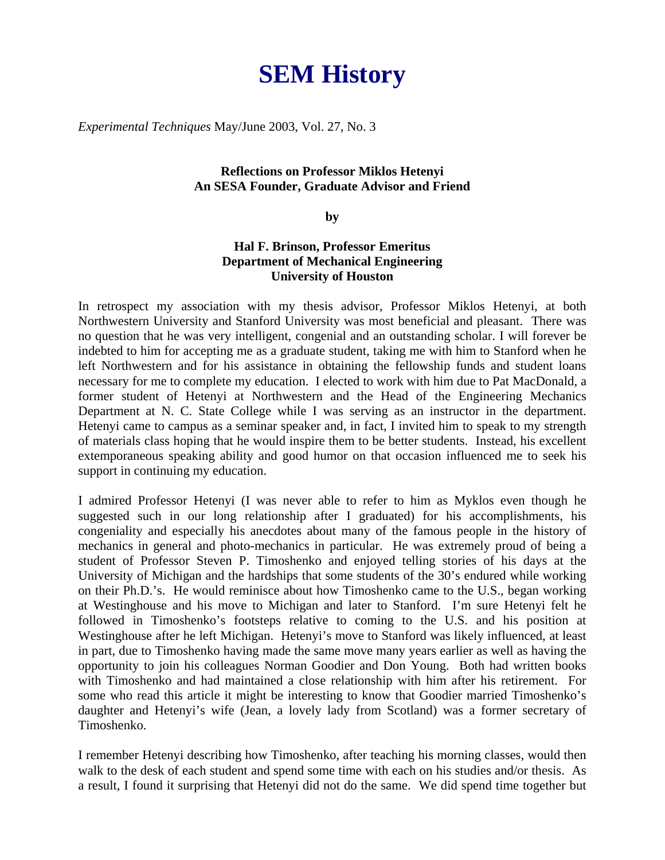## **SEM History**

*Experimental Techniques* May/June 2003, Vol. 27, No. 3

## **Reflections on Professor Miklos Hetenyi An SESA Founder, Graduate Advisor and Friend**

## **by**

## **Hal F. Brinson, Professor Emeritus Department of Mechanical Engineering University of Houston**

In retrospect my association with my thesis advisor, Professor Miklos Hetenyi, at both Northwestern University and Stanford University was most beneficial and pleasant. There was no question that he was very intelligent, congenial and an outstanding scholar. I will forever be indebted to him for accepting me as a graduate student, taking me with him to Stanford when he left Northwestern and for his assistance in obtaining the fellowship funds and student loans necessary for me to complete my education. I elected to work with him due to Pat MacDonald, a former student of Hetenyi at Northwestern and the Head of the Engineering Mechanics Department at N. C. State College while I was serving as an instructor in the department. Hetenyi came to campus as a seminar speaker and, in fact, I invited him to speak to my strength of materials class hoping that he would inspire them to be better students. Instead, his excellent extemporaneous speaking ability and good humor on that occasion influenced me to seek his support in continuing my education.

I admired Professor Hetenyi (I was never able to refer to him as Myklos even though he suggested such in our long relationship after I graduated) for his accomplishments, his congeniality and especially his anecdotes about many of the famous people in the history of mechanics in general and photo-mechanics in particular. He was extremely proud of being a student of Professor Steven P. Timoshenko and enjoyed telling stories of his days at the University of Michigan and the hardships that some students of the 30's endured while working on their Ph.D.'s. He would reminisce about how Timoshenko came to the U.S., began working at Westinghouse and his move to Michigan and later to Stanford. I'm sure Hetenyi felt he followed in Timoshenko's footsteps relative to coming to the U.S. and his position at Westinghouse after he left Michigan. Hetenyi's move to Stanford was likely influenced, at least in part, due to Timoshenko having made the same move many years earlier as well as having the opportunity to join his colleagues Norman Goodier and Don Young. Both had written books with Timoshenko and had maintained a close relationship with him after his retirement. For some who read this article it might be interesting to know that Goodier married Timoshenko's daughter and Hetenyi's wife (Jean, a lovely lady from Scotland) was a former secretary of Timoshenko.

I remember Hetenyi describing how Timoshenko, after teaching his morning classes, would then walk to the desk of each student and spend some time with each on his studies and/or thesis. As a result, I found it surprising that Hetenyi did not do the same. We did spend time together but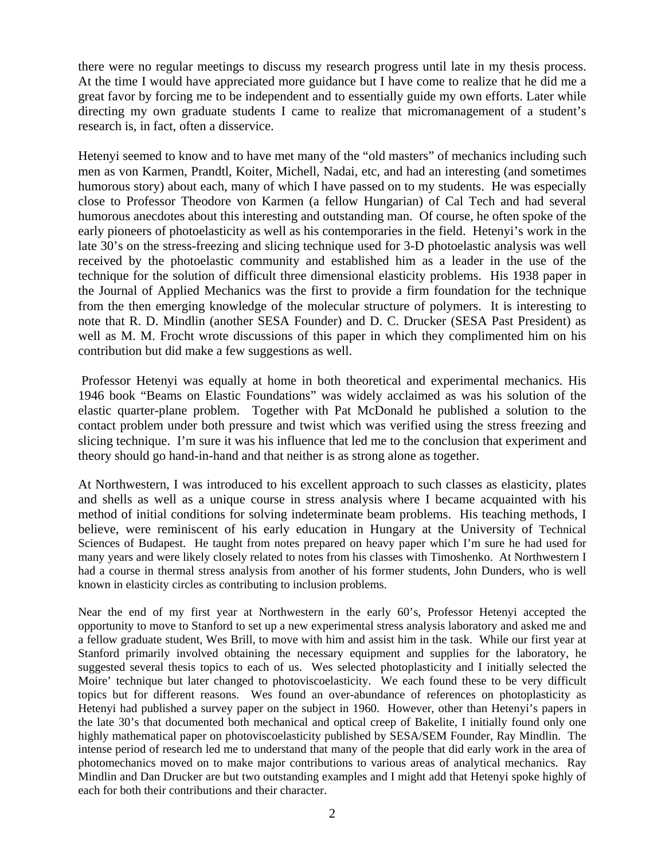there were no regular meetings to discuss my research progress until late in my thesis process. At the time I would have appreciated more guidance but I have come to realize that he did me a great favor by forcing me to be independent and to essentially guide my own efforts. Later while directing my own graduate students I came to realize that micromanagement of a student's research is, in fact, often a disservice.

Hetenyi seemed to know and to have met many of the "old masters" of mechanics including such men as von Karmen, Prandtl, Koiter, Michell, Nadai, etc, and had an interesting (and sometimes humorous story) about each, many of which I have passed on to my students. He was especially close to Professor Theodore von Karmen (a fellow Hungarian) of Cal Tech and had several humorous anecdotes about this interesting and outstanding man. Of course, he often spoke of the early pioneers of photoelasticity as well as his contemporaries in the field. Hetenyi's work in the late 30's on the stress-freezing and slicing technique used for 3-D photoelastic analysis was well received by the photoelastic community and established him as a leader in the use of the technique for the solution of difficult three dimensional elasticity problems. His 1938 paper in the Journal of Applied Mechanics was the first to provide a firm foundation for the technique from the then emerging knowledge of the molecular structure of polymers. It is interesting to note that R. D. Mindlin (another SESA Founder) and D. C. Drucker (SESA Past President) as well as M. M. Frocht wrote discussions of this paper in which they complimented him on his contribution but did make a few suggestions as well.

 Professor Hetenyi was equally at home in both theoretical and experimental mechanics. His 1946 book "Beams on Elastic Foundations" was widely acclaimed as was his solution of the elastic quarter-plane problem. Together with Pat McDonald he published a solution to the contact problem under both pressure and twist which was verified using the stress freezing and slicing technique. I'm sure it was his influence that led me to the conclusion that experiment and theory should go hand-in-hand and that neither is as strong alone as together.

At Northwestern, I was introduced to his excellent approach to such classes as elasticity, plates and shells as well as a unique course in stress analysis where I became acquainted with his method of initial conditions for solving indeterminate beam problems. His teaching methods, I believe, were reminiscent of his early education in Hungary at the University of Technical Sciences of Budapest. He taught from notes prepared on heavy paper which I'm sure he had used for many years and were likely closely related to notes from his classes with Timoshenko. At Northwestern I had a course in thermal stress analysis from another of his former students, John Dunders, who is well known in elasticity circles as contributing to inclusion problems.

Near the end of my first year at Northwestern in the early 60's, Professor Hetenyi accepted the opportunity to move to Stanford to set up a new experimental stress analysis laboratory and asked me and a fellow graduate student, Wes Brill, to move with him and assist him in the task. While our first year at Stanford primarily involved obtaining the necessary equipment and supplies for the laboratory, he suggested several thesis topics to each of us. Wes selected photoplasticity and I initially selected the Moire' technique but later changed to photoviscoelasticity. We each found these to be very difficult topics but for different reasons. Wes found an over-abundance of references on photoplasticity as Hetenyi had published a survey paper on the subject in 1960. However, other than Hetenyi's papers in the late 30's that documented both mechanical and optical creep of Bakelite, I initially found only one highly mathematical paper on photoviscoelasticity published by SESA/SEM Founder, Ray Mindlin. The intense period of research led me to understand that many of the people that did early work in the area of photomechanics moved on to make major contributions to various areas of analytical mechanics. Ray Mindlin and Dan Drucker are but two outstanding examples and I might add that Hetenyi spoke highly of each for both their contributions and their character.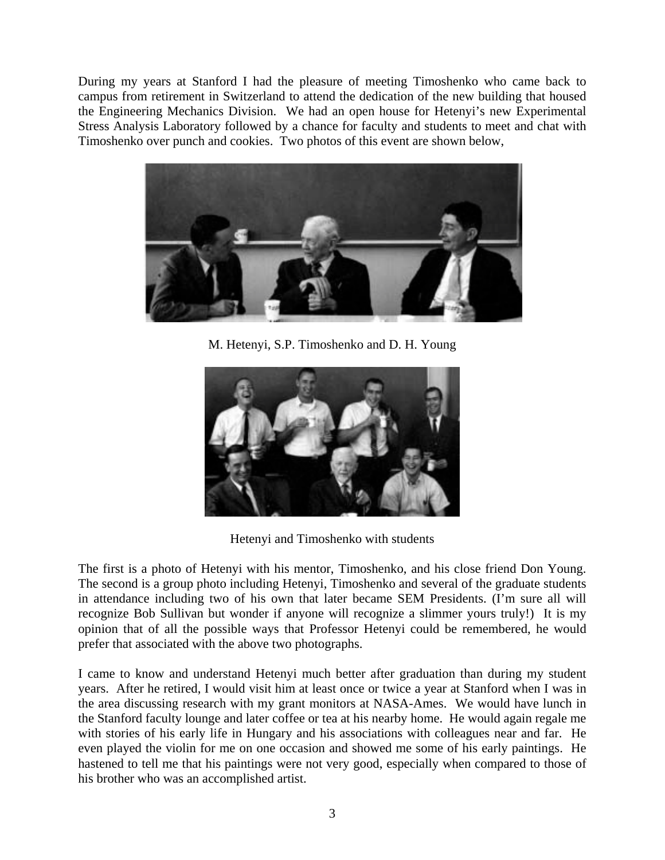During my years at Stanford I had the pleasure of meeting Timoshenko who came back to campus from retirement in Switzerland to attend the dedication of the new building that housed the Engineering Mechanics Division. We had an open house for Hetenyi's new Experimental Stress Analysis Laboratory followed by a chance for faculty and students to meet and chat with Timoshenko over punch and cookies. Two photos of this event are shown below,



M. Hetenyi, S.P. Timoshenko and D. H. Young



Hetenyi and Timoshenko with students

The first is a photo of Hetenyi with his mentor, Timoshenko, and his close friend Don Young. The second is a group photo including Hetenyi, Timoshenko and several of the graduate students in attendance including two of his own that later became SEM Presidents. (I'm sure all will recognize Bob Sullivan but wonder if anyone will recognize a slimmer yours truly!) It is my opinion that of all the possible ways that Professor Hetenyi could be remembered, he would prefer that associated with the above two photographs.

I came to know and understand Hetenyi much better after graduation than during my student years. After he retired, I would visit him at least once or twice a year at Stanford when I was in the area discussing research with my grant monitors at NASA-Ames. We would have lunch in the Stanford faculty lounge and later coffee or tea at his nearby home. He would again regale me with stories of his early life in Hungary and his associations with colleagues near and far. He even played the violin for me on one occasion and showed me some of his early paintings. He hastened to tell me that his paintings were not very good, especially when compared to those of his brother who was an accomplished artist.